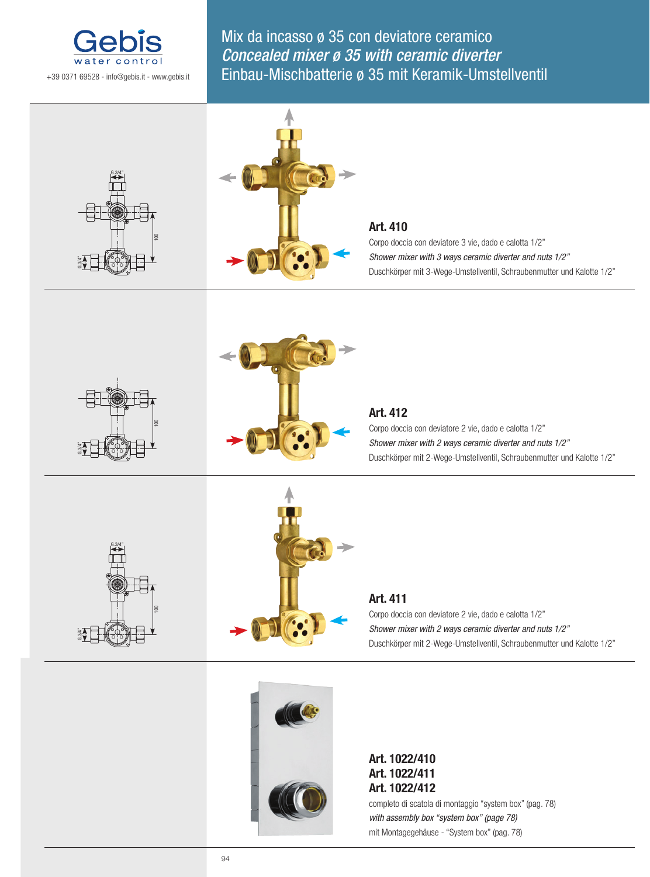

Mix da incasso ø 35 con deviatore ceramico Concealed mixer ø 35 with ceramic diverter Einbau-Mischbatterie ø 35 mit Keramik-Umstellventil





## **Art. 410**

Corpo doccia con deviatore 3 vie, dado e calotta 1/2" *Shower mixer with 3 ways ceramic diverter and nuts 1/2"* Duschkörper mit 3-Wege-Umstellventil, Schraubenmutter und Kalotte 1/2"





## **Art. 412**

Corpo doccia con deviatore 2 vie, dado e calotta 1/2" *Shower mixer with 2 ways ceramic diverter and nuts 1/2"* Duschkörper mit 2-Wege-Umstellventil, Schraubenmutter und Kalotte 1/2"





# **Art. 411**

Corpo doccia con deviatore 2 vie, dado e calotta 1/2" *Shower mixer with 2 ways ceramic diverter and nuts 1/2"* Duschkörper mit 2-Wege-Umstellventil, Schraubenmutter und Kalotte 1/2"



## **Art. 1022/410 Art. 1022/411 Art. 1022/412**

completo di scatola di montaggio "system box" (pag. 78) *with assembly box "system box" (page 78)* mit Montagegehäuse - "System box" (pag. 78)